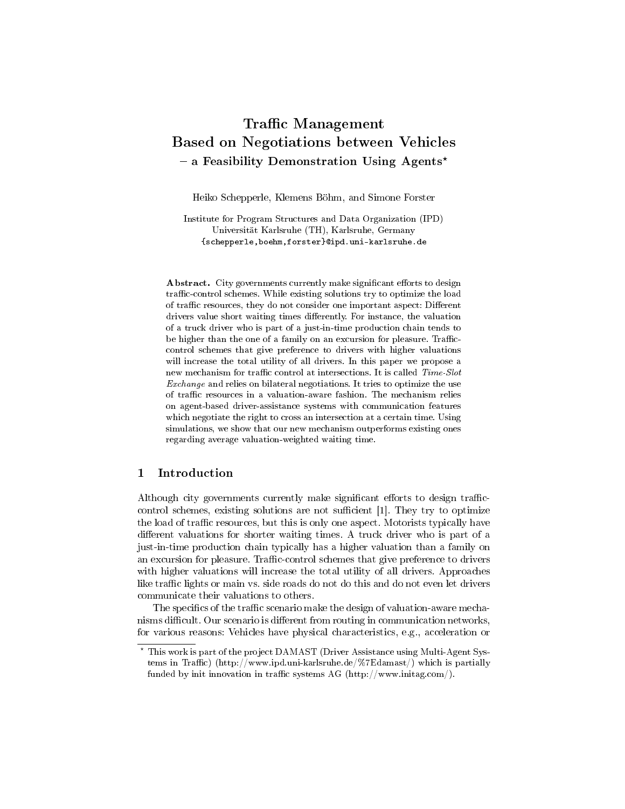# Traffic Management Based on Negotiations between Vehicles - a Feasibility Demonstration Using Agents<sup>\*</sup>

Heiko Schepperle, Klemens Böhm, and Simone Forster

Institute for Program Structures and Data Organization (IPD) Universität Karlsruhe (TH), Karlsruhe, Germany {schepperle,boehm,forster}@ipd.uni-karlsruhe.de

Abstract. City governments currently make significant efforts to design traffic-control schemes. While existing solutions try to optimize the load of traffic resources, they do not consider one important aspect: Different drivers value short waiting times differently. For instance, the valuation of a truck driver who is part of a just-in-time production chain tends to be higher than the one of a family on an excursion for pleasure. Trafficcontrol schemes that give preference to drivers with higher valuations will increase the total utility of all drivers. In this paper we propose a new mechanism for traffic control at intersections. It is called Time-Slot Exchange and relies on bilateral negotiations. It tries to optimize the use of traffic resources in a valuation-aware fashion. The mechanism relies on agent-based driver-assistance systems with communication features which negotiate the right to cross an intersection at a certain time. Using simulations, we show that our new mechanism outperforms existing ones regarding average valuation-weighted waiting time.

# 1 Introduction

Although city governments currently make significant efforts to design trafficcontrol schemes, existing solutions are not sufficient  $[1]$ . They try to optimize the load of traffic resources, but this is only one aspect. Motorists typically have different valuations for shorter waiting times. A truck driver who is part of a just-in-time production chain typically has a higher valuation than a family on an excursion for pleasure. Traffic-control schemes that give preference to drivers with higher valuations will increase the total utility of all drivers. Approaches like traffic lights or main vs. side roads do not do this and do not even let drivers communicate their valuations to others.

The specifics of the traffic scenario make the design of valuation-aware mechanisms difficult. Our scenario is different from routing in communication networks, for various reasons: Vehicles have physical characteristics, e.g., acceleration or

<sup>?</sup> This work is part of the project DAMAST (Driver Assistance using Multi-Agent Systems in Traffic) (http://www.ipd.uni-karlsruhe.de/%7Edamast/) which is partially funded by init innovation in traffic systems AG ( $\frac{http://www.initag.com/)}{http://www.initag.com/)}$ .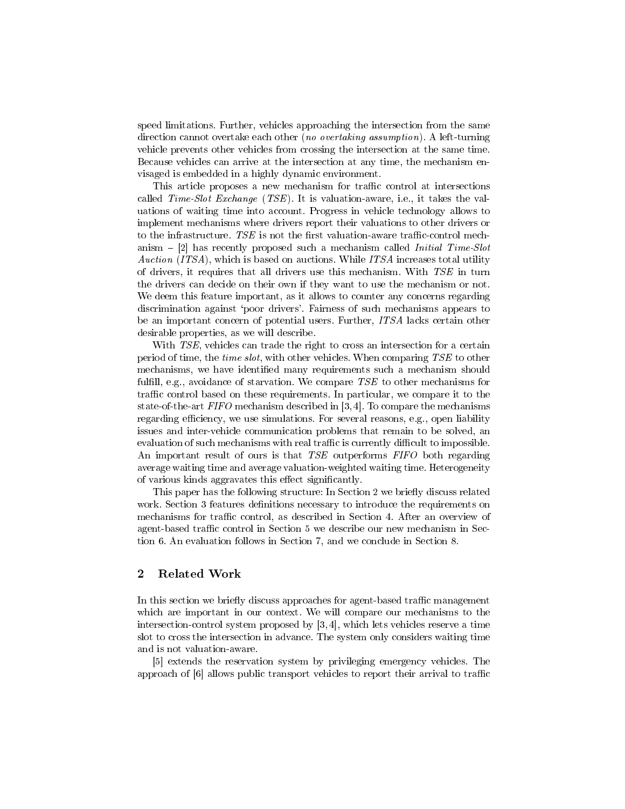speed limitations. Further, vehicles approaching the intersection from the same direction cannot overtake each other (no overtaking assumption). A left-turning vehicle prevents other vehicles from crossing the intersection at the same time. Because vehicles can arrive at the intersection at any time, the mechanism envisaged is embedded in a highly dynamic environment.

This article proposes a new mechanism for traffic control at intersections called Time-Slot Exchange (TSE). It is valuation-aware, i.e., it takes the valuations of waiting time into account. Progress in vehicle technology allows to implement mechanisms where drivers report their valuations to other drivers or to the infrastructure. TSE is not the first valuation-aware traffic-control mechanism  $-[2]$  has recently proposed such a mechanism called *Initial Time-Slot* Auction (ITSA), which is based on auctions. While ITSA increases total utility of drivers, it requires that all drivers use this mechanism. With TSE in turn the drivers can decide on their own if they want to use the mechanism or not. We deem this feature important, as it allows to counter any concerns regarding discrimination against `poor drivers'. Fairness of such mechanisms appears to be an important concern of potential users. Further, ITSA lacks certain other desirable properties, as we will describe.

With TSE, vehicles can trade the right to cross an intersection for a certain period of time, the *time slot*, with other vehicles. When comparing TSE to other mechanisms, we have identified many requirements such a mechanism should fulfill, e.g., avoidance of starvation. We compare  $TSE$  to other mechanisms for traffic control based on these requirements. In particular, we compare it to the state-of-the-art  $FIFO$  mechanism described in [3, 4]. To compare the mechanisms regarding efficiency, we use simulations. For several reasons, e.g., open liability issues and inter-vehicle communication problems that remain to be solved, an evaluation of such mechanisms with real traffic is currently difficult to impossible. An important result of ours is that TSE outperforms FIFO both regarding average waiting time and average valuation-weighted waiting time. Heterogeneity of various kinds aggravates this effect significantly.

This paper has the following structure: In Section 2 we briefly discuss related work. Section 3 features definitions necessary to introduce the requirements on mechanisms for traffic control, as described in Section 4. After an overview of agent-based traffic control in Section 5 we describe our new mechanism in Section 6. An evaluation follows in Section 7, and we conclude in Section 8.

# 2 Related Work

In this section we briefly discuss approaches for agent-based traffic management which are important in our context. We will compare our mechanisms to the intersection-control system proposed by [3, 4], which lets vehicles reserve a time slot to cross the intersection in advance. The system only considers waiting time and is not valuation-aware.

[5] extends the reservation system by privileging emergency vehicles. The approach of  $[6]$  allows public transport vehicles to report their arrival to traffic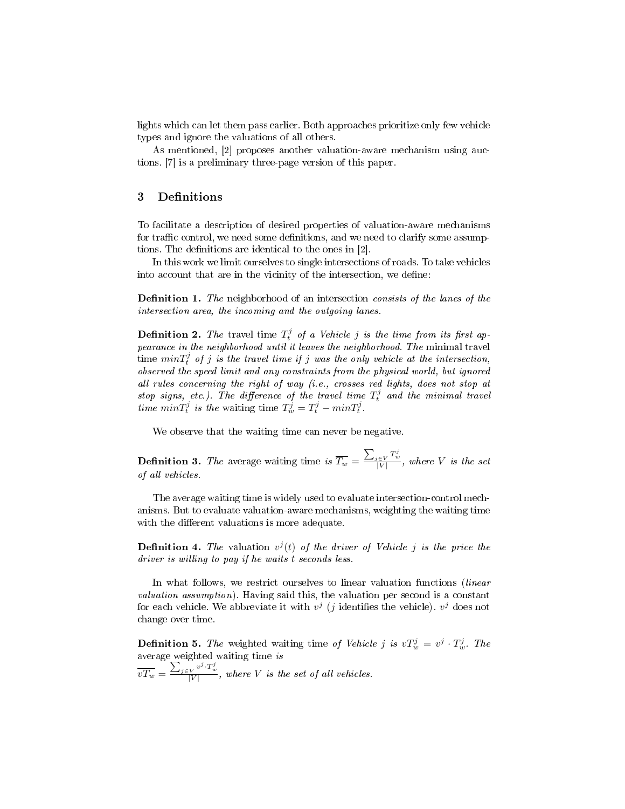lights which can let them pass earlier. Both approaches prioritize only few vehicle types and ignore the valuations of all others.

As mentioned, [2] proposes another valuation-aware mechanism using auctions. [7] is a preliminary three-page version of this paper.

# 3 Definitions

To facilitate a description of desired properties of valuation-aware mechanisms for traffic control, we need some definitions, and we need to clarify some assumptions. The definitions are identical to the ones in [2].

In this work we limit ourselves to single intersections of roads. To take vehicles into account that are in the vicinity of the intersection, we define:

**Definition 1.** The neighborhood of an intersection consists of the lanes of the intersection area, the incoming and the outgoing lanes.

**Definition 2.** The travel time  $T_t^j$  of a Vehicle j is the time from its first appearance in the neighborhood until it leaves the neighborhood. The minimal travel time  $min T_t^j$  of  $j$  is the travel time if  $j$  was the only vehicle at the intersection, observed the speed limit and any constraints from the physical world, but ignored all rules concerning the right of way (i.e., crosses red lights, does not stop at stop signs, etc.). The difference of the travel time  $T_t^j$  and the minimal travel time  $min T_t^j$  is the waiting time  $T_w^j = T_t^j - min T_t^j$ .

We observe that the waiting time can never be negative.

**Definition 3.** The average waiting time is  $\overline{T_w} = \frac{\sum_{j \in V} T_w^j}{|V|}$ , where V is the set of all vehicles.

The average waiting time is widely used to evaluate intersection-control mechanisms. But to evaluate valuation-aware mechanisms, weighting the waiting time with the different valuations is more adequate.

**Definition 4.** The valuation  $v^{j}(t)$  of the driver of Vehicle j is the price the driver is willing to pay if he waits t seconds less.

In what follows, we restrict ourselves to linear valuation functions *(linear*) valuation assumption). Having said this, the valuation per second is a constant for each vehicle. We abbreviate it with  $v^j$  (j identifies the vehicle).  $v^j$  does not change over time.

**Definition 5.** The weighted waiting time of Vehicle j is  $vT_w^j = v^j \cdot T_w^j$ . The average weighted waiting time is  $\overline{vT_{w}} = \frac{\sum_{j \in V} v^{j} \cdot T_{w}^{j}}{|V|}$ , where V is the set of all vehicles.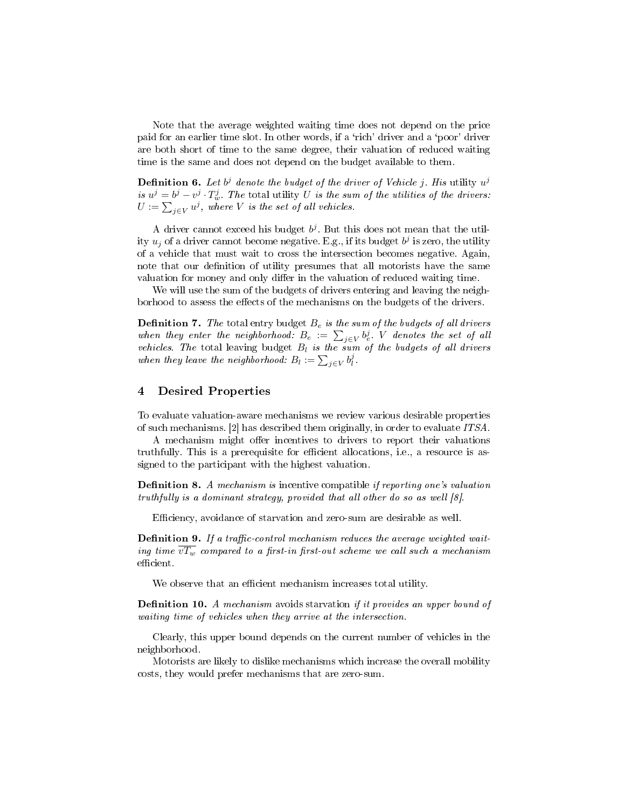Note that the average weighted waiting time does not depend on the price paid for an earlier time slot. In other words, if a `rich' driver and a `poor' driver are both short of time to the same degree, their valuation of reduced waiting time is the same and does not depend on the budget available to them.

**Definition 6.** Let  $b^j$  denote the budget of the driver of Vehicle j. His utility  $u^j$ is  $u^j = b^j - v^j \cdot T_w^j$ . The total utility U is the sum of the utilities of the drivers:  $U := \sum_{j \in V} u^j$ , where V is the set of all vehicles.

A driver cannot exceed his budget  $b^j$ . But this does not mean that the utility  $u_j$  of a driver cannot become negative. E.g., if its budget  $b^j$  is zero, the utility of a vehicle that must wait to cross the intersection becomes negative. Again, note that our definition of utility presumes that all motorists have the same valuation for money and only differ in the valuation of reduced waiting time.

We will use the sum of the budgets of drivers entering and leaving the neighborhood to assess the effects of the mechanisms on the budgets of the drivers.

**Definition 7.** The total entry budget  $B_e$  is the sum of the budgets of all drivers when they enter the neighborhood:  $B_e$  :=  $\sum_{j\in V} b_e^j$ . V denotes the set of all vehicles. The total leaving budget  $B_l$  is the sum of the budgets of all drivers when they leave the neighborhood:  $B_l := \sum_{j \in V} b_l^j$ .

# 4 Desired Properties

To evaluate valuation-aware mechanisms we review various desirable properties of such mechanisms. [2] has described them originally, in order to evaluate  $ITSA$ .

A mechanism might offer incentives to drivers to report their valuations truthfully. This is a prerequisite for efficient allocations, i.e., a resource is assigned to the participant with the highest valuation.

**Definition 8.** A mechanism is incentive compatible if reporting one's valuation truthfully is a dominant strategy, provided that all other do so as well [8].

Efficiency, avoidance of starvation and zero-sum are desirable as well.

**Definition 9.** If a traffic-control mechanism reduces the average weighted waiting time  $\overline{vT_w}$  compared to a first-in first-out scheme we call such a mechanism efficient.

We observe that an efficient mechanism increases total utility.

**Definition 10.** A mechanism avoids starvation if it provides an upper bound of waiting time of vehicles when they arrive at the intersection.

Clearly, this upper bound depends on the current number of vehicles in the neighborhood.

Motorists are likely to dislike mechanisms which increase the overall mobility costs, they would prefer mechanisms that are zero-sum.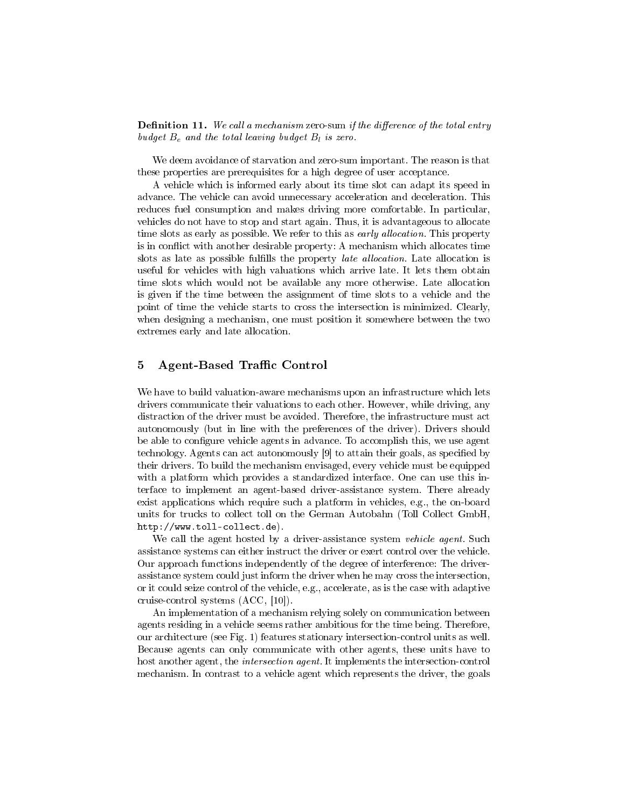**Definition 11.** We call a mechanism zero-sum if the difference of the total entry budget  $B_e$  and the total leaving budget  $B_l$  is zero.

We deem avoidance of starvation and zero-sum important. The reason is that these properties are prerequisites for a high degree of user acceptance.

A vehicle which is informed early about its time slot can adapt its speed in advance. The vehicle can avoid unnecessary acceleration and deceleration. This reduces fuel consumption and makes driving more comfortable. In particular, vehicles do not have to stop and start again. Thus, it is advantageous to allocate time slots as early as possible. We refer to this as *early allocation*. This property is in conflict with another desirable property: A mechanism which allocates time slots as late as possible fulfills the property *late allocation*. Late allocation is useful for vehicles with high valuations which arrive late. It lets them obtain time slots which would not be available any more otherwise. Late allocation is given if the time between the assignment of time slots to a vehicle and the point of time the vehicle starts to cross the intersection is minimized. Clearly, when designing a mechanism, one must position it somewhere between the two extremes early and late allocation.

# 5 Agent-Based Traffic Control

We have to build valuation-aware mechanisms upon an infrastructure which lets drivers communicate their valuations to each other. However, while driving, any distraction of the driver must be avoided. Therefore, the infrastructure must act autonomously (but in line with the preferences of the driver). Drivers should be able to configure vehicle agents in advance. To accomplish this, we use agent technology. Agents can act autonomously [9] to attain their goals, as specified by their drivers. To build the mechanism envisaged, every vehicle must be equipped with a platform which provides a standardized interface. One can use this interface to implement an agent-based driver-assistance system. There already exist applications which require such a platform in vehicles, e.g., the on-board units for trucks to collect toll on the German Autobahn (Toll Collect GmbH, http://www.toll-collect.de).

We call the agent hosted by a driver-assistance system *vehicle agent*. Such assistance systems can either instruct the driver or exert control over the vehicle. Our approach functions independently of the degree of interference: The driverassistance system could just inform the driver when he may cross the intersection, or it could seize control of the vehicle, e.g., accelerate, as is the case with adaptive cruise-control systems (ACC, [10]).

An implementation of a mechanism relying solely on communication between agents residing in a vehicle seems rather ambitious for the time being. Therefore, our architecture (see Fig. 1) features stationary intersection-control units as well. Because agents can only communicate with other agents, these units have to host another agent, the *intersection agent*. It implements the intersection-control mechanism. In contrast to a vehicle agent which represents the driver, the goals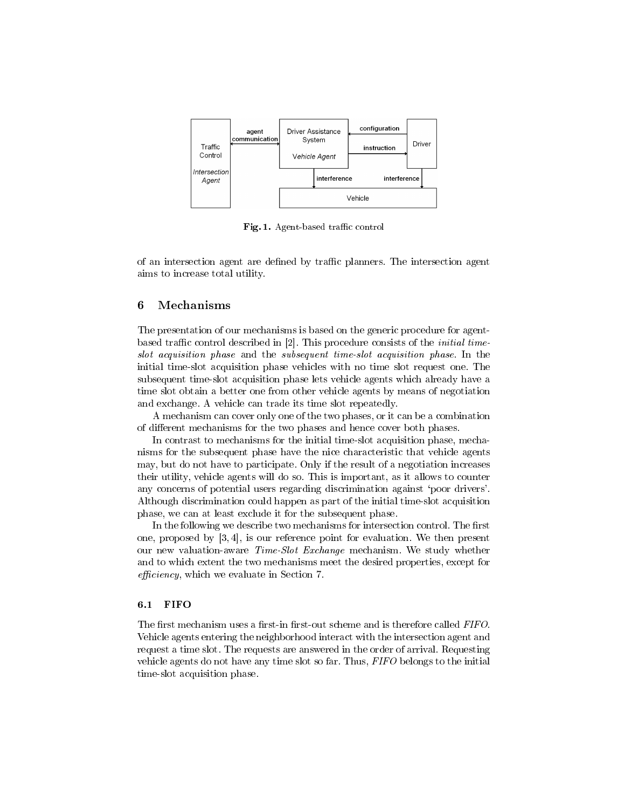

Fig. 1. Agent-based traffic control

of an intersection agent are defined by traffic planners. The intersection agent aims to increase total utility.

# 6 Mechanisms

The presentation of our mechanisms is based on the generic procedure for agentbased traffic control described in [2]. This procedure consists of the *initial time*slot acquisition phase and the subsequent time-slot acquisition phase. In the initial time-slot acquisition phase vehicles with no time slot request one. The subsequent time-slot acquisition phase lets vehicle agents which already have a time slot obtain a better one from other vehicle agents by means of negotiation and exchange. A vehicle can trade its time slot repeatedly.

A mechanism can cover only one of the two phases, or it can be a combination of different mechanisms for the two phases and hence cover both phases.

In contrast to mechanisms for the initial time-slot acquisition phase, mechanisms for the subsequent phase have the nice characteristic that vehicle agents may, but do not have to participate. Only if the result of a negotiation increases their utility, vehicle agents will do so. This is important, as it allows to counter any concerns of potential users regarding discrimination against `poor drivers'. Although discrimination could happen as part of the initial time-slot acquisition phase, we can at least exclude it for the subsequent phase.

In the following we describe two mechanisms for intersection control. The first one, proposed by [3, 4], is our reference point for evaluation. We then present our new valuation-aware Time-Slot Exchange mechanism. We study whether and to which extent the two mechanisms meet the desired properties, except for  $efficiency$ , which we evaluate in Section 7.

### 6.1 FIFO

The first mechanism uses a first-in first-out scheme and is therefore called FIFO. Vehicle agents entering the neighborhood interact with the intersection agent and request a time slot. The requests are answered in the order of arrival. Requesting vehicle agents do not have any time slot so far. Thus, FIFO belongs to the initial time-slot acquisition phase.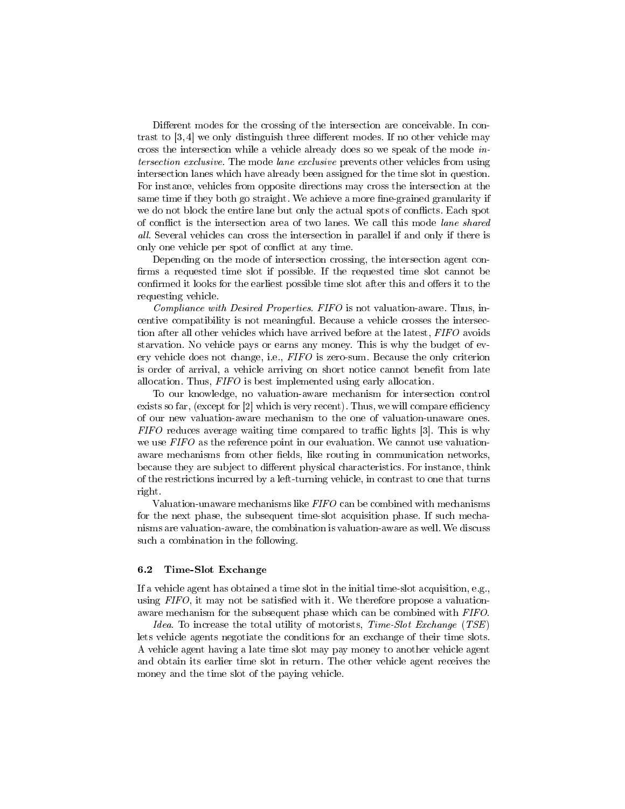Different modes for the crossing of the intersection are conceivable. In contrast to  $[3, 4]$  we only distinguish three different modes. If no other vehicle may cross the intersection while a vehicle already does so we speak of the mode intersection exclusive. The mode lane exclusive prevents other vehicles from using intersection lanes which have already been assigned for the time slot in question. For instance, vehicles from opposite directions may cross the intersection at the same time if they both go straight. We achieve a more fine-grained granularity if we do not block the entire lane but only the actual spots of conflicts. Each spot of conflict is the intersection area of two lanes. We call this mode *lane shared* all. Several vehicles can cross the intersection in parallel if and only if there is only one vehicle per spot of conflict at any time.

Depending on the mode of intersection crossing, the intersection agent con firms a requested time slot if possible. If the requested time slot cannot be confirmed it looks for the earliest possible time slot after this and offers it to the requesting vehicle.

Compliance with Desired Properties. FIFO is not valuation-aware. Thus, incentive compatibility is not meaningful. Because a vehicle crosses the intersection after all other vehicles which have arrived before at the latest, FIFO avoids starvation. No vehicle pays or earns any money. This is why the budget of every vehicle does not change, i.e., FIFO is zero-sum. Because the only criterion is order of arrival, a vehicle arriving on short notice cannot benefit from late allocation. Thus, FIFO is best implemented using early allocation.

To our knowledge, no valuation-aware mechanism for intersection control exists so far, (except for  $[2]$  which is very recent). Thus, we will compare efficiency of our new valuation-aware mechanism to the one of valuation-unaware ones.  $FIFO$  reduces average waiting time compared to traffic lights [3]. This is why we use FIFO as the reference point in our evaluation. We cannot use valuationaware mechanisms from other fields, like routing in communication networks, because they are subject to different physical characteristics. For instance, think of the restrictions incurred by a left-turning vehicle, in contrast to one that turns right.

Valuation-unaware mechanisms like  $FIFO$  can be combined with mechanisms for the next phase, the subsequent time-slot acquisition phase. If such mechanisms are valuation-aware, the combination is valuation-aware as well. We discuss such a combination in the following.

#### 6.2 Time-Slot Exchange

If a vehicle agent has obtained a time slot in the initial time-slot acquisition, e.g., using  $FIFO$ , it may not be satisfied with it. We therefore propose a valuationaware mechanism for the subsequent phase which can be combined with FIFO.

*Idea*. To increase the total utility of motorists, *Time-Slot Exchange* (*TSE*) lets vehicle agents negotiate the conditions for an exchange of their time slots. A vehicle agent having a late time slot may pay money to another vehicle agent and obtain its earlier time slot in return. The other vehicle agent receives the money and the time slot of the paying vehicle.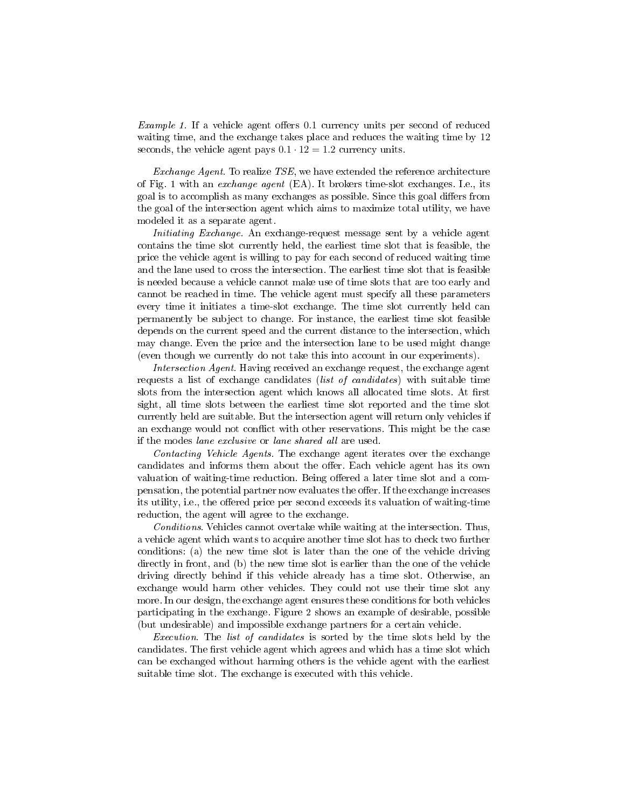Example 1. If a vehicle agent offers  $0.1$  currency units per second of reduced waiting time, and the exchange takes place and reduces the waiting time by 12 seconds, the vehicle agent pays  $0.1 \cdot 12 = 1.2$  currency units.

*Exchange Agent.* To realize  $TSE$ , we have extended the reference architecture of Fig. 1 with an exchange agent (EA). It brokers time-slot exchanges. I.e., its goal is to accomplish as many exchanges as possible. Since this goal differs from the goal of the intersection agent which aims to maximize total utility, we have modeled it as a separate agent.

Initiating Exchange. An exchange-request message sent by a vehicle agent contains the time slot currently held, the earliest time slot that is feasible, the price the vehicle agent is willing to pay for each second of reduced waiting time and the lane used to cross the intersection. The earliest time slot that is feasible is needed because a vehicle cannot make use of time slots that are too early and cannot be reached in time. The vehicle agent must specify all these parameters every time it initiates a time-slot exchange. The time slot currently held can permanently be subject to change. For instance, the earliest time slot feasible depends on the current speed and the current distance to the intersection, which may change. Even the price and the intersection lane to be used might change (even though we currently do not take this into account in our experiments).

Intersection Agent. Having received an exchange request, the exchange agent requests a list of exchange candidates (list of candidates) with suitable time slots from the intersection agent which knows all allocated time slots. At first sight, all time slots between the earliest time slot reported and the time slot currently held are suitable. But the intersection agent will return only vehicles if an exchange would not conflict with other reservations. This might be the case if the modes lane exclusive or lane shared all are used.

Contacting Vehicle Agents. The exchange agent iterates over the exchange candidates and informs them about the offer. Each vehicle agent has its own valuation of waiting-time reduction. Being offered a later time slot and a compensation, the potential partner now evaluates the offer. If the exchange increases its utility, i.e., the offered price per second exceeds its valuation of waiting-time reduction, the agent will agree to the exchange.

Conditions. Vehicles cannot overtake while waiting at the intersection. Thus, a vehicle agent which wants to acquire another time slot has to check two further conditions: (a) the new time slot is later than the one of the vehicle driving directly in front, and (b) the new time slot is earlier than the one of the vehicle driving directly behind if this vehicle already has a time slot. Otherwise, an exchange would harm other vehicles. They could not use their time slot any more. In our design, the exchange agent ensures these conditions for both vehicles participating in the exchange. Figure 2 shows an example of desirable, possible (but undesirable) and impossible exchange partners for a certain vehicle.

Execution. The list of candidates is sorted by the time slots held by the candidates. The first vehicle agent which agrees and which has a time slot which can be exchanged without harming others is the vehicle agent with the earliest suitable time slot. The exchange is executed with this vehicle.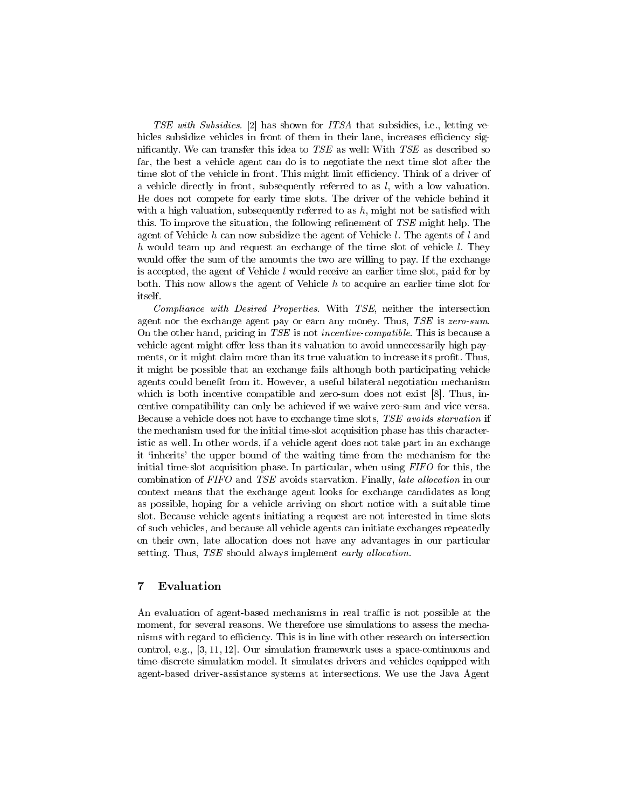TSE with Subsidies. [2] has shown for ITSA that subsidies, i.e., letting vehicles subsidize vehicles in front of them in their lane, increases efficiency significantly. We can transfer this idea to  $TSE$  as well: With  $TSE$  as described so far, the best a vehicle agent can do is to negotiate the next time slot after the time slot of the vehicle in front. This might limit efficiency. Think of a driver of a vehicle directly in front, subsequently referred to as  $l$ , with a low valuation. He does not compete for early time slots. The driver of the vehicle behind it with a high valuation, subsequently referred to as  $h$ , might not be satisfied with this. To improve the situation, the following refinement of  $TSE$  might help. The agent of Vehicle  $h$  can now subsidize the agent of Vehicle  $l$ . The agents of  $l$  and h would team up and request an exchange of the time slot of vehicle l. They would offer the sum of the amounts the two are willing to pay. If the exchange is accepted, the agent of Vehicle l would receive an earlier time slot, paid for by both. This now allows the agent of Vehicle h to acquire an earlier time slot for itself.

Compliance with Desired Properties. With TSE, neither the intersection agent nor the exchange agent pay or earn any money. Thus, TSE is zero-sum. On the other hand, pricing in TSE is not incentive-compatible. This is because a vehicle agent might offer less than its valuation to avoid unnecessarily high payments, or it might claim more than its true valuation to increase its profit. Thus, it might be possible that an exchange fails although both participating vehicle agents could benefit from it. However, a useful bilateral negotiation mechanism which is both incentive compatible and zero-sum does not exist [8]. Thus, incentive compatibility can only be achieved if we waive zero-sum and vice versa. Because a vehicle does not have to exchange time slots, TSE avoids starvation if the mechanism used for the initial time-slot acquisition phase has this characteristic as well. In other words, if a vehicle agent does not take part in an exchange it `inherits' the upper bound of the waiting time from the mechanism for the initial time-slot acquisition phase. In particular, when using FIFO for this, the combination of FIFO and TSE avoids starvation. Finally, late allocation in our context means that the exchange agent looks for exchange candidates as long as possible, hoping for a vehicle arriving on short notice with a suitable time slot. Because vehicle agents initiating a request are not interested in time slots of such vehicles, and because all vehicle agents can initiate exchanges repeatedly on their own, late allocation does not have any advantages in our particular setting. Thus, TSE should always implement early allocation.

# 7 Evaluation

An evaluation of agent-based mechanisms in real traffic is not possible at the moment, for several reasons. We therefore use simulations to assess the mechanisms with regard to efficiency. This is in line with other research on intersection control, e.g., [3, 11, 12]. Our simulation framework uses a space-continuous and time-discrete simulation model. It simulates drivers and vehicles equipped with agent-based driver-assistance systems at intersections. We use the Java Agent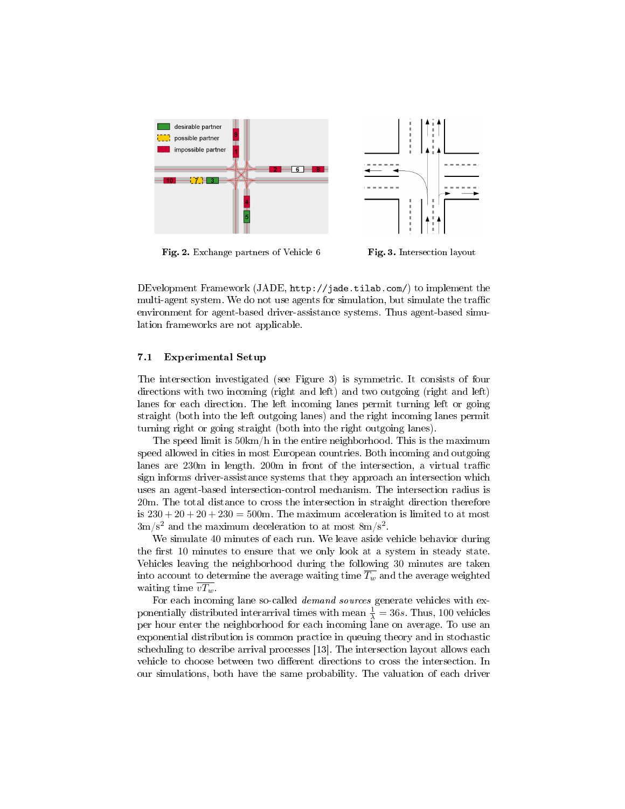

Fig. 2. Exchange partners of Vehicle 6 Fig. 3. Intersection layout

DEvelopment Framework (JADE, http://jade.tilab.com/) to implement the multi-agent system. We do not use agents for simulation, but simulate the traffic environment for agent-based driver-assistance systems. Thus agent-based simulation frameworks are not applicable.

#### 7.1 Experimental Setup

The intersection investigated (see Figure 3) is symmetric. It consists of four directions with two incoming (right and left) and two outgoing (right and left) lanes for each direction. The left incoming lanes permit turning left or going straight (both into the left outgoing lanes) and the right incoming lanes permit turning right or going straight (both into the right outgoing lanes).

The speed limit is 50km/h in the entire neighborhood. This is the maximum speed allowed in cities in most European countries. Both incoming and outgoing lanes are  $230m$  in length.  $200m$  in front of the intersection, a virtual traffic sign informs driver-assistance systems that they approach an intersection which uses an agent-based intersection-control mechanism. The intersection radius is 20m. The total distance to cross the intersection in straight direction therefore is  $230 + 20 + 20 + 230 = 500$ m. The maximum acceleration is limited to at most  $3m/s<sup>2</sup>$  and the maximum deceleration to at most  $8m/s<sup>2</sup>$ .

We simulate 40 minutes of each run. We leave aside vehicle behavior during the first 10 minutes to ensure that we only look at a system in steady state. Vehicles leaving the neighborhood during the following 30 minutes are taken into account to determine the average waiting time  $\overline{T_w}$  and the average weighted waiting time  $\overline{vT_w}$ .

For each incoming lane so-called demand sources generate vehicles with exponentially distributed interarrival times with mean  $\frac{1}{\lambda} = 36s$ . Thus, 100 vehicles per hour enter the neighborhood for each incoming lane on average. To use an exponential distribution is common practice in queuing theory and in stochastic scheduling to describe arrival processes [13]. The intersection layout allows each vehicle to choose between two different directions to cross the intersection. In our simulations, both have the same probability. The valuation of each driver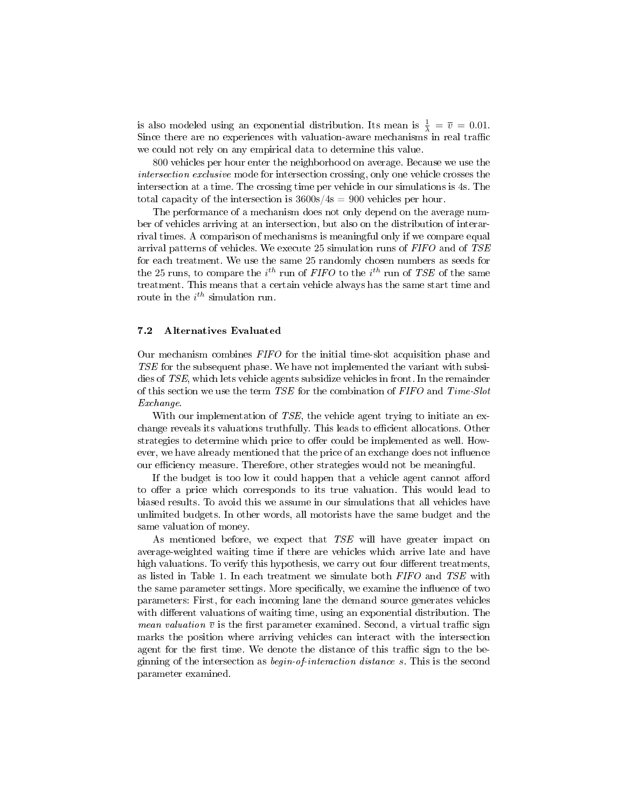is also modeled using an exponential distribution. Its mean is  $\frac{1}{\lambda} = \overline{v} = 0.01$ . Since there are no experiences with valuation-aware mechanisms in real traffic we could not rely on any empirical data to determine this value.

800 vehicles per hour enter the neighborhood on average. Because we use the intersection exclusive mode for intersection crossing, only one vehicle crosses the intersection at a time. The crossing time per vehicle in our simulations is 4s. The total capacity of the intersection is  $3600s/4s = 900$  vehicles per hour.

The performance of a mechanism does not only depend on the average number of vehicles arriving at an intersection, but also on the distribution of interarrival times. A comparison of mechanisms is meaningful only if we compare equal arrival patterns of vehicles. We execute 25 simulation runs of FIFO and of TSE for each treatment. We use the same 25 randomly chosen numbers as seeds for the 25 runs, to compare the  $i^{th}$  run of FIFO to the  $i^{th}$  run of TSE of the same treatment. This means that a certain vehicle always has the same start time and route in the  $i^{th}$  simulation run.

#### 7.2 Alternatives Evaluated

Our mechanism combines FIFO for the initial time-slot acquisition phase and TSE for the subsequent phase. We have not implemented the variant with subsidies of TSE, which lets vehicle agents subsidize vehicles in front. In the remainder of this section we use the term TSE for the combination of FIFO and Time-Slot Exchange.

With our implementation of TSE, the vehicle agent trying to initiate an exchange reveals its valuations truthfully. This leads to efficient allocations. Other strategies to determine which price to offer could be implemented as well. However, we have already mentioned that the price of an exchange does not influence our efficiency measure. Therefore, other strategies would not be meaningful.

If the budget is too low it could happen that a vehicle agent cannot afford to offer a price which corresponds to its true valuation. This would lead to biased results. To avoid this we assume in our simulations that all vehicles have unlimited budgets. In other words, all motorists have the same budget and the same valuation of money.

As mentioned before, we expect that TSE will have greater impact on average-weighted waiting time if there are vehicles which arrive late and have high valuations. To verify this hypothesis, we carry out four different treatments, as listed in Table 1. In each treatment we simulate both FIFO and TSE with the same parameter settings. More specifically, we examine the influence of two parameters: First, for each incoming lane the demand source generates vehicles with different valuations of waiting time, using an exponential distribution. The *mean valuation*  $\bar{v}$  is the first parameter examined. Second, a virtual traffic sign marks the position where arriving vehicles can interact with the intersection agent for the first time. We denote the distance of this traffic sign to the beginning of the intersection as begin-of-interaction distance s. This is the second parameter examined.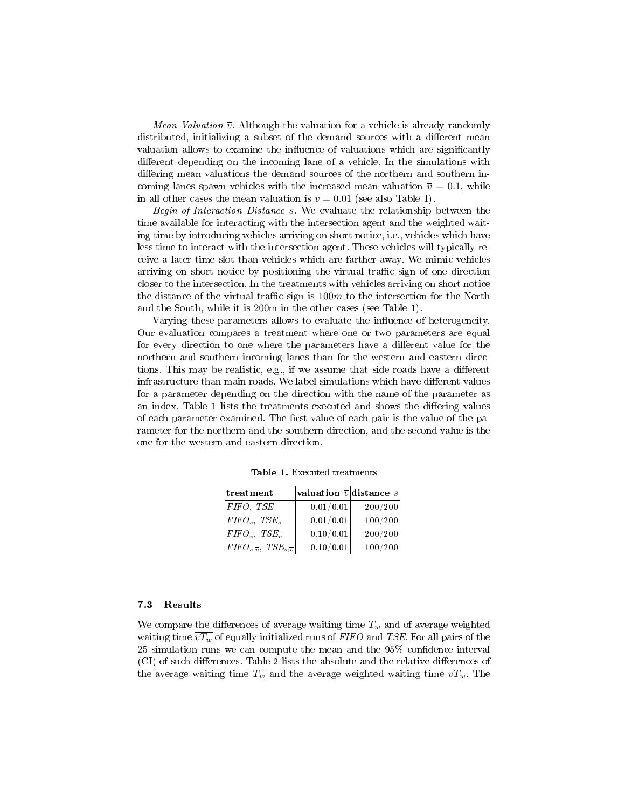*Mean Valuation*  $\overline{v}$ . Although the valuation for a vehicle is already randomly distributed, initializing a subset of the demand sources with a different mean valuation allows to examine the influence of valuations which are significantly different depending on the incoming lane of a vehicle. In the simulations with differing mean valuations the demand sources of the northern and southern incoming lanes spawn vehicles with the increased mean valuation  $\bar{v} = 0.1$ , while in all other cases the mean valuation is  $\overline{v} = 0.01$  (see also Table 1).

Begin-of-Interaction Distance s. We evaluate the relationship between the time available for interacting with the intersection agent and the weighted waiting time by introducing vehicles arriving on short notice, i.e., vehicles which have less time to interact with the intersection agent. These vehicles will typically receive a later time slot than vehicles which are farther away. We mimic vehicles arriving on short notice by positioning the virtual traffic sign of one direction closer to the intersection. In the treatments with vehicles arriving on short notice the distance of the virtual traffic sign is  $100m$  to the intersection for the North and the South, while it is 200m in the other cases (see Table 1).

Varying these parameters allows to evaluate the influence of heterogeneity. Our evaluation compares a treatment where one or two parameters are equal for every direction to one where the parameters have a different value for the northern and southern incoming lanes than for the western and eastern directions. This may be realistic, e.g., if we assume that side roads have a different infrastructure than main roads. We label simulations which have different values for a parameter depending on the direction with the name of the parameter as an index. Table 1 lists the treatments executed and shows the differing values of each parameter examined. The first value of each pair is the value of the parameter for the northern and the southern direction, and the second value is the one for the western and eastern direction.

Table 1. Executed treatments

| treatment                                       | valuation $\overline{v} $ distance $s$ |         |
|-------------------------------------------------|----------------------------------------|---------|
| FIFO, TSE                                       | 0.01/0.01                              | 200/200 |
| $FIFO_s, TSE_s$                                 | 0.01/0.01                              | 100/200 |
| $FIFO_{\overline{v}}, TSE_{\overline{v}}$       | 0.10/0.01                              | 200/200 |
| $FIFO_{s;\overline{v}}, \;TSE_{s;\overline{v}}$ | 0.10/0.01                              | 100/200 |

#### 7.3 Results

We compare the differences of average waiting time  $\overline{T_w}$  and of average weighted waiting time  $\overline{vT_w}$  of equally initialized runs of FIFO and TSE. For all pairs of the 25 simulation runs we can compute the mean and the 95% condence interval  $(CI)$  of such differences. Table 2 lists the absolute and the relative differences of the average waiting time  $\overline{T_w}$  and the average weighted waiting time  $\overline{vT_w}$ . The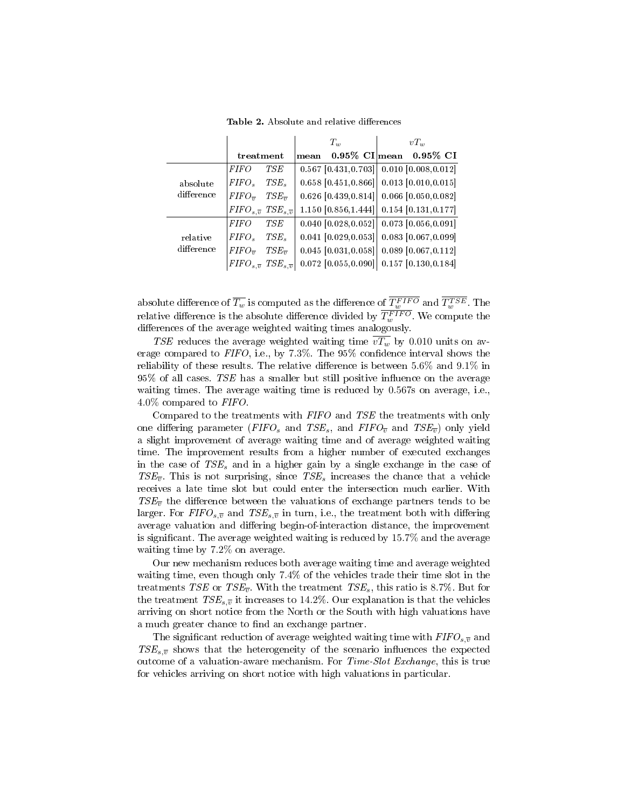Table 2. Absolute and relative differences

|                        |                                              |                      | $T_w$ |                                               |  | $vT_w$ |  |  |
|------------------------|----------------------------------------------|----------------------|-------|-----------------------------------------------|--|--------|--|--|
|                        | treatment                                    |                      | mean  | $0.95\%$ CI mean 0.95% CI                     |  |        |  |  |
| absolute<br>difference | <i>FIFO</i>                                  | TSE                  |       | $0.567$ [0.431,0.703] 0.010 [0.008,0.012]     |  |        |  |  |
|                        | FIFO.                                        | $TSE_s$              |       | $0.658$ [0.451,0.866] 0.013 [0.010,0.015]     |  |        |  |  |
|                        | $FIFO_{\overline{v}}$                        | $TSE_{\overline{v}}$ |       | $0.626$ [0.439, 0.814] 0.066 [0.050, 0.082]   |  |        |  |  |
|                        | $FIFO_{s,\overline{v}} TSE_{s,\overline{v}}$ |                      |       | 1.150 $[0.856, 1.444]$ 0.154 $[0.131, 0.177]$ |  |        |  |  |
| relative<br>difference | FIFO                                         | TSE                  |       | $0.040$ [0.028, 0.052] 0.073 [0.056, 0.091]   |  |        |  |  |
|                        | $FIFO_s$                                     | TSE <sub>s</sub>     |       | $0.041$ [0.029,0.053] 0.083 [0.067,0.099]     |  |        |  |  |
|                        | $FIFO_{\overline{n}}$                        | $TSE_{\overline{n}}$ |       | $0.045$ [0.031,0.058] 0.089 [0.067,0.112]     |  |        |  |  |
|                        | $FIFO_{s,\overline{v}} TSE_{s,\overline{v}}$ |                      |       | $0.072$ [0.055,0.090] 0.157 [0.130,0.184]     |  |        |  |  |

absolute difference of  $\overline{T_w}$  is computed as the difference of  $T_w^{FIFO}$  and  $T_w^{TSE}$ . The relative difference is the absolute difference divided by  $T_{w}^{FIFO}$  . We compute the differences of the average weighted waiting times analogously.

TSE reduces the average weighted waiting time  $\overline{v_{Tw}}$  by 0.010 units on average compared to  $FIFO$ , i.e., by  $7.3\%$ . The  $95\%$  confidence interval shows the reliability of these results. The relative difference is between  $5.6\%$  and  $9.1\%$  in  $95\%$  of all cases. TSE has a smaller but still positive influence on the average waiting times. The average waiting time is reduced by 0.567s on average, i.e., 4.0% compared to FIFO.

Compared to the treatments with FIFO and TSE the treatments with only one differing parameter (FIFO<sub>s</sub> and TSE<sub>s</sub>, and FIFO<sub>y</sub> and TSE<sub>y</sub>) only yield a slight improvement of average waiting time and of average weighted waiting time. The improvement results from a higher number of executed exchanges in the case of  $TSE<sub>s</sub>$  and in a higher gain by a single exchange in the case of  $TSE_{\overline{n}}$ . This is not surprising, since  $TSE_s$  increases the chance that a vehicle receives a late time slot but could enter the intersection much earlier. With  $TSE_{\overline{n}}$  the difference between the valuations of exchange partners tends to be larger. For  $FIFO_{s,\overline{v}}$  and  $TSE_{s,\overline{v}}$  in turn, i.e., the treatment both with differing average valuation and differing begin-of-interaction distance, the improvement is significant. The average weighted waiting is reduced by 15.7% and the average waiting time by 7.2% on average.

Our new mechanism reduces both average waiting time and average weighted waiting time, even though only 7.4% of the vehicles trade their time slot in the treatments TSE or TSE<sub> $\overline{v}$ </sub>. With the treatment TSE<sub>s</sub>, this ratio is 8.7%. But for the treatment  $TSE_{s,\bar{v}}$  it increases to 14.2%. Our explanation is that the vehicles arriving on short notice from the North or the South with high valuations have a much greater chance to find an exchange partner.

The significant reduction of average weighted waiting time with  $FIFO_{s,\overline{v}}$  and  $TSE_{s,\bar{v}}$  shows that the heterogeneity of the scenario influences the expected outcome of a valuation-aware mechanism. For Time-Slot Exchange, this is true for vehicles arriving on short notice with high valuations in particular.